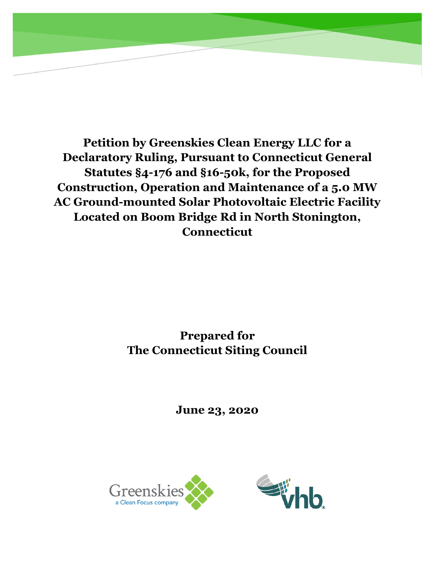**Petition by Greenskies Clean Energy LLC for a Declaratory Ruling, Pursuant to Connecticut General Statutes §4-176 and §16-50k, for the Proposed Construction, Operation and Maintenance of a 5.0 MW AC Ground-mounted Solar Photovoltaic Electric Facility Located on Boom Bridge Rd in North Stonington, Connecticut**

# **Prepared for The Connecticut Siting Council**

**June 23, 2020**

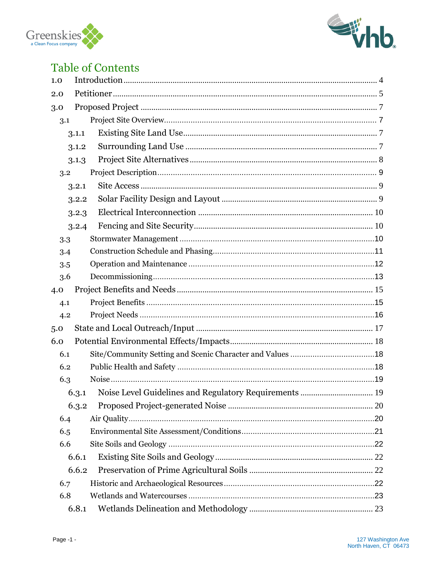



# **Table of Contents**

| 1.0   |       |  |  |  |  |  |  |
|-------|-------|--|--|--|--|--|--|
| 2.0   |       |  |  |  |  |  |  |
| 3.0   |       |  |  |  |  |  |  |
| 3.1   |       |  |  |  |  |  |  |
|       | 3.1.1 |  |  |  |  |  |  |
| 3.1.2 |       |  |  |  |  |  |  |
| 3.1.3 |       |  |  |  |  |  |  |
| 3.2   |       |  |  |  |  |  |  |
| 3.2.1 |       |  |  |  |  |  |  |
| 3.2.2 |       |  |  |  |  |  |  |
| 3.2.3 |       |  |  |  |  |  |  |
| 3.2.4 |       |  |  |  |  |  |  |
| 3.3   |       |  |  |  |  |  |  |
| 3.4   |       |  |  |  |  |  |  |
| 3.5   |       |  |  |  |  |  |  |
| 3.6   |       |  |  |  |  |  |  |
| 4.0   |       |  |  |  |  |  |  |
| 4.1   |       |  |  |  |  |  |  |
| 4.2   |       |  |  |  |  |  |  |
| 5.0   |       |  |  |  |  |  |  |
| 6.0   |       |  |  |  |  |  |  |
| 6.1   |       |  |  |  |  |  |  |
| 6.2   |       |  |  |  |  |  |  |
| 6.3   |       |  |  |  |  |  |  |
|       |       |  |  |  |  |  |  |
| 6.3.2 |       |  |  |  |  |  |  |
| 6.4   |       |  |  |  |  |  |  |
| 6.5   |       |  |  |  |  |  |  |
| 6.6   |       |  |  |  |  |  |  |
| 6.6.1 |       |  |  |  |  |  |  |
| 6.6.2 |       |  |  |  |  |  |  |
| 6.7   |       |  |  |  |  |  |  |
| 6.8   |       |  |  |  |  |  |  |
| 6.8.1 |       |  |  |  |  |  |  |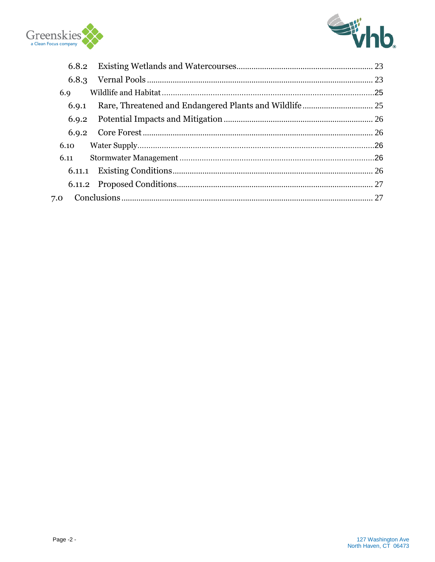



| 6.8.2 |  |  |  |  |
|-------|--|--|--|--|
| 6.8.3 |  |  |  |  |
| 6.9   |  |  |  |  |
| 6.9.1 |  |  |  |  |
| 6.9.2 |  |  |  |  |
| 6.9.2 |  |  |  |  |
| 6.10  |  |  |  |  |
| 6.11  |  |  |  |  |
|       |  |  |  |  |
|       |  |  |  |  |
| 7.0   |  |  |  |  |
|       |  |  |  |  |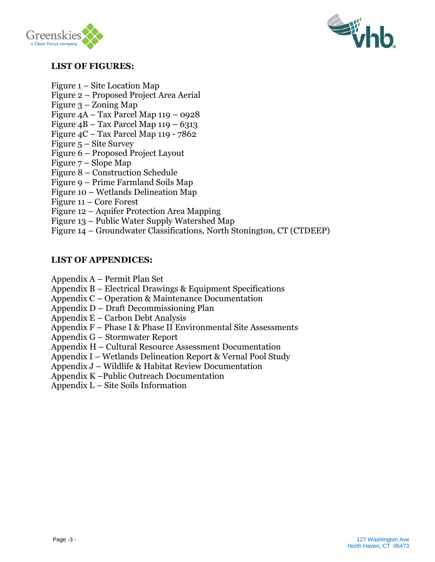



#### **LIST OF FIGURES:**

- Figure 1 Site Location Map
- Figure 2 Proposed Project Area Aerial
- Figure 3 Zoning Map
- Figure 4A Tax Parcel Map 119 0928
- Figure  $4B Tax$  Parcel Map  $119 6313$
- Figure 4C Tax Parcel Map 119 7862
- Figure 5 Site Survey
- Figure 6 Proposed Project Layout
- Figure 7 Slope Map
- Figure 8 Construction Schedule
- Figure 9 Prime Farmland Soils Map
- Figure 10 Wetlands Delineation Map
- Figure 11 Core Forest
- Figure 12 Aquifer Protection Area Mapping
- Figure 13 Public Water Supply Watershed Map
- Figure 14 Groundwater Classifications, North Stonington, CT (CTDEEP)

#### **LIST OF APPENDICES:**

- Appendix A Permit Plan Set
- Appendix B Electrical Drawings & Equipment Specifications
- Appendix C Operation & Maintenance Documentation
- Appendix D Draft Decommissioning Plan
- Appendix E Carbon Debt Analysis
- Appendix F Phase I & Phase II Environmental Site Assessments
- Appendix G Stormwater Report
- Appendix H Cultural Resource Assessment Documentation
- Appendix I Wetlands Delineation Report & Vernal Pool Study
- Appendix J Wildlife & Habitat Review Documentation
- Appendix K –Public Outreach Documentation
- Appendix L Site Soils Information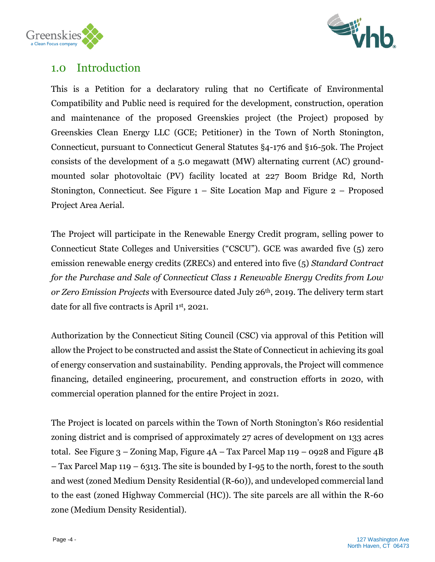



## <span id="page-4-0"></span>1.0 Introduction

This is a Petition for a declaratory ruling that no Certificate of Environmental Compatibility and Public need is required for the development, construction, operation and maintenance of the proposed Greenskies project (the Project) proposed by Greenskies Clean Energy LLC (GCE; Petitioner) in the Town of North Stonington, Connecticut, pursuant to Connecticut General Statutes §4-176 and §16-50k. The Project consists of the development of a 5.0 megawatt (MW) alternating current (AC) groundmounted solar photovoltaic (PV) facility located at 227 Boom Bridge Rd, North Stonington, Connecticut. See Figure 1 – Site Location Map and Figure 2 – Proposed Project Area Aerial.

The Project will participate in the Renewable Energy Credit program, selling power to Connecticut State Colleges and Universities ("CSCU"). GCE was awarded five (5) zero emission renewable energy credits (ZRECs) and entered into five (5) *Standard Contract for the Purchase and Sale of Connecticut Class 1 Renewable Energy Credits from Low or Zero Emission Projects* with Eversource dated July 26th, 2019. The delivery term start date for all five contracts is April 1st, 2021.

Authorization by the Connecticut Siting Council (CSC) via approval of this Petition will allow the Project to be constructed and assist the State of Connecticut in achieving its goal of energy conservation and sustainability. Pending approvals, the Project will commence financing, detailed engineering, procurement, and construction efforts in 2020, with commercial operation planned for the entire Project in 2021.

The Project is located on parcels within the Town of North Stonington's R60 residential zoning district and is comprised of approximately 27 acres of development on 133 acres total. See Figure  $3 -$ Zoning Map, Figure  $4A -$ Tax Parcel Map  $119 - 0928$  and Figure  $4B$ – Tax Parcel Map 119 – 6313. The site is bounded by I-95 to the north, forest to the south and west (zoned Medium Density Residential (R-60)), and undeveloped commercial land to the east (zoned Highway Commercial (HC)). The site parcels are all within the R-60 zone (Medium Density Residential).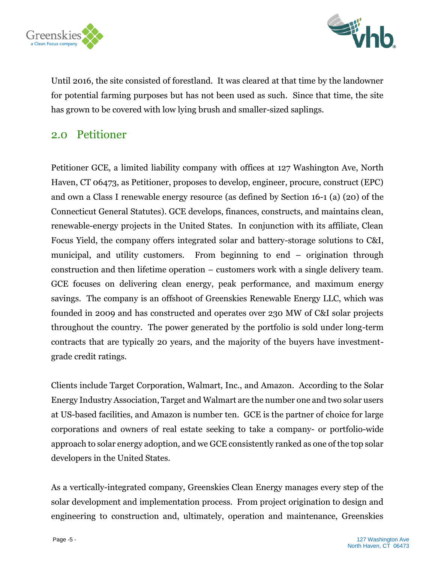



Until 2016, the site consisted of forestland. It was cleared at that time by the landowner for potential farming purposes but has not been used as such. Since that time, the site has grown to be covered with low lying brush and smaller-sized saplings.

## <span id="page-5-0"></span>2.0 Petitioner

Petitioner GCE, a limited liability company with offices at 127 Washington Ave, North Haven, CT 06473, as Petitioner, proposes to develop, engineer, procure, construct (EPC) and own a Class I renewable energy resource (as defined by Section 16-1 (a) (20) of the Connecticut General Statutes). GCE develops, finances, constructs, and maintains clean, renewable-energy projects in the United States. In conjunction with its affiliate, Clean Focus Yield, the company offers integrated solar and battery-storage solutions to C&I, municipal, and utility customers. From beginning to end – origination through construction and then lifetime operation – customers work with a single delivery team. GCE focuses on delivering clean energy, peak performance, and maximum energy savings. The company is an offshoot of Greenskies Renewable Energy LLC, which was founded in 2009 and has constructed and operates over 230 MW of C&I solar projects throughout the country. The power generated by the portfolio is sold under long-term contracts that are typically 20 years, and the majority of the buyers have investmentgrade credit ratings.

Clients include Target Corporation, Walmart, Inc., and Amazon. According to the Solar Energy Industry Association, Target and Walmart are the number one and two solar users at US-based facilities, and Amazon is number ten. GCE is the partner of choice for large corporations and owners of real estate seeking to take a company- or portfolio-wide approach to solar energy adoption, and we GCE consistently ranked as one of the top solar developers in the United States.

As a vertically-integrated company, Greenskies Clean Energy manages every step of the solar development and implementation process. From project origination to design and engineering to construction and, ultimately, operation and maintenance, Greenskies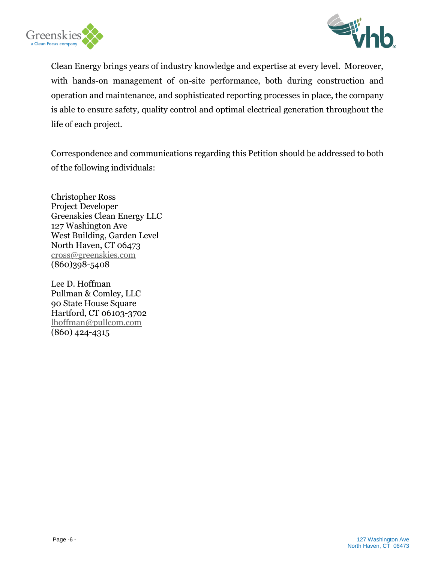



Clean Energy brings years of industry knowledge and expertise at every level. Moreover, with hands-on management of on-site performance, both during construction and operation and maintenance, and sophisticated reporting processes in place, the company is able to ensure safety, quality control and optimal electrical generation throughout the life of each project.

Correspondence and communications regarding this Petition should be addressed to both of the following individuals:

Christopher Ross Project Developer Greenskies Clean Energy LLC 127 Washington Ave West Building, Garden Level North Haven, CT 06473 [cross@greenskies.com](mailto:cross@greenskies.com) (860)398-5408

Lee D. Hoffman Pullman & Comley, LLC 90 State House Square Hartford, CT 06103-3702 [lhoffman@pullcom.com](mailto:lhoffman@pullcom.com) (860) 424-4315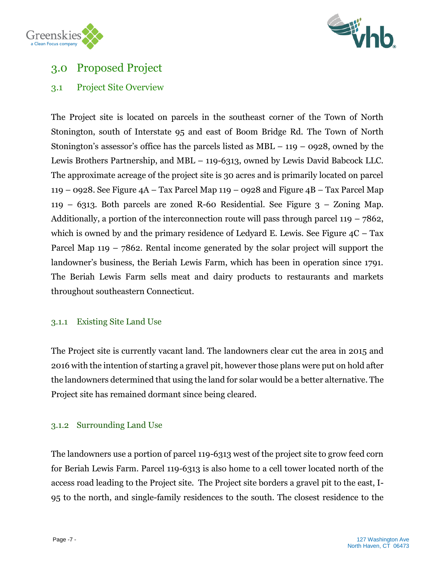



## <span id="page-7-0"></span>3.0 Proposed Project

## <span id="page-7-1"></span>3.1 Project Site Overview

The Project site is located on parcels in the southeast corner of the Town of North Stonington, south of Interstate 95 and east of Boom Bridge Rd. The Town of North Stonington's assessor's office has the parcels listed as  $MBL - 119 - 0928$ , owned by the Lewis Brothers Partnership, and MBL – 119-6313, owned by Lewis David Babcock LLC. The approximate acreage of the project site is 30 acres and is primarily located on parcel 119 – 0928. See Figure 4A – Tax Parcel Map 119 – 0928 and Figure 4B – Tax Parcel Map 119 – 6313. Both parcels are zoned R-60 Residential. See Figure  $3$  – Zoning Map. Additionally, a portion of the interconnection route will pass through parcel  $119 - 7862$ , which is owned by and the primary residence of Ledyard E. Lewis. See Figure  $4C - Tax$ Parcel Map 119 – 7862. Rental income generated by the solar project will support the landowner's business, the Beriah Lewis Farm, which has been in operation since 1791. The Beriah Lewis Farm sells meat and dairy products to restaurants and markets throughout southeastern Connecticut.

#### <span id="page-7-2"></span>3.1.1 Existing Site Land Use

The Project site is currently vacant land. The landowners clear cut the area in 2015 and 2016 with the intention of starting a gravel pit, however those plans were put on hold after the landowners determined that using the land for solar would be a better alternative. The Project site has remained dormant since being cleared.

#### <span id="page-7-3"></span>3.1.2 Surrounding Land Use

The landowners use a portion of parcel 119-6313 west of the project site to grow feed corn for Beriah Lewis Farm. Parcel 119-6313 is also home to a cell tower located north of the access road leading to the Project site. The Project site borders a gravel pit to the east, I-95 to the north, and single-family residences to the south. The closest residence to the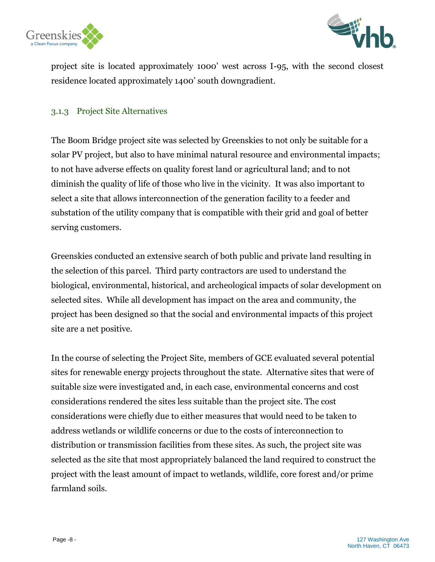



project site is located approximately 1000' west across I-95, with the second closest residence located approximately 1400' south downgradient.

#### <span id="page-8-0"></span>3.1.3 Project Site Alternatives

The Boom Bridge project site was selected by Greenskies to not only be suitable for a solar PV project, but also to have minimal natural resource and environmental impacts; to not have adverse effects on quality forest land or agricultural land; and to not diminish the quality of life of those who live in the vicinity. It was also important to select a site that allows interconnection of the generation facility to a feeder and substation of the utility company that is compatible with their grid and goal of better serving customers.

Greenskies conducted an extensive search of both public and private land resulting in the selection of this parcel. Third party contractors are used to understand the biological, environmental, historical, and archeological impacts of solar development on selected sites. While all development has impact on the area and community, the project has been designed so that the social and environmental impacts of this project site are a net positive.

In the course of selecting the Project Site, members of GCE evaluated several potential sites for renewable energy projects throughout the state. Alternative sites that were of suitable size were investigated and, in each case, environmental concerns and cost considerations rendered the sites less suitable than the project site. The cost considerations were chiefly due to either measures that would need to be taken to address wetlands or wildlife concerns or due to the costs of interconnection to distribution or transmission facilities from these sites. As such, the project site was selected as the site that most appropriately balanced the land required to construct the project with the least amount of impact to wetlands, wildlife, core forest and/or prime farmland soils.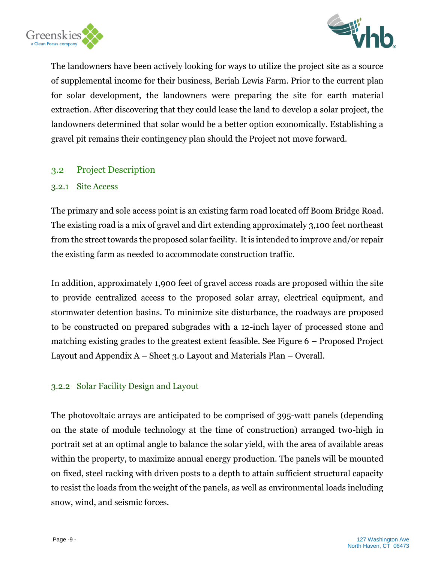



The landowners have been actively looking for ways to utilize the project site as a source of supplemental income for their business, Beriah Lewis Farm. Prior to the current plan for solar development, the landowners were preparing the site for earth material extraction. After discovering that they could lease the land to develop a solar project, the landowners determined that solar would be a better option economically. Establishing a gravel pit remains their contingency plan should the Project not move forward.

#### <span id="page-9-0"></span>3.2 Project Description

#### <span id="page-9-1"></span>3.2.1 Site Access

The primary and sole access point is an existing farm road located off Boom Bridge Road. The existing road is a mix of gravel and dirt extending approximately 3,100 feet northeast from the street towards the proposed solar facility. It is intended to improve and/or repair the existing farm as needed to accommodate construction traffic.

In addition, approximately 1,900 feet of gravel access roads are proposed within the site to provide centralized access to the proposed solar array, electrical equipment, and stormwater detention basins. To minimize site disturbance, the roadways are proposed to be constructed on prepared subgrades with a 12-inch layer of processed stone and matching existing grades to the greatest extent feasible. See Figure 6 – Proposed Project Layout and Appendix A – Sheet 3.0 Layout and Materials Plan – Overall.

#### <span id="page-9-2"></span>3.2.2 Solar Facility Design and Layout

The photovoltaic arrays are anticipated to be comprised of 395-watt panels (depending on the state of module technology at the time of construction) arranged two-high in portrait set at an optimal angle to balance the solar yield, with the area of available areas within the property, to maximize annual energy production. The panels will be mounted on fixed, steel racking with driven posts to a depth to attain sufficient structural capacity to resist the loads from the weight of the panels, as well as environmental loads including snow, wind, and seismic forces.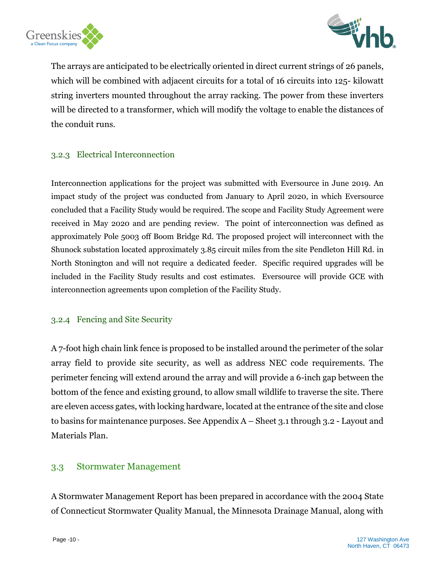



The arrays are anticipated to be electrically oriented in direct current strings of 26 panels, which will be combined with adjacent circuits for a total of 16 circuits into 125- kilowatt string inverters mounted throughout the array racking. The power from these inverters will be directed to a transformer, which will modify the voltage to enable the distances of the conduit runs.

#### <span id="page-10-0"></span>3.2.3 Electrical Interconnection

Interconnection applications for the project was submitted with Eversource in June 2019. An impact study of the project was conducted from January to April 2020, in which Eversource concluded that a Facility Study would be required. The scope and Facility Study Agreement were received in May 2020 and are pending review. The point of interconnection was defined as approximately Pole 5003 off Boom Bridge Rd. The proposed project will interconnect with the Shunock substation located approximately 3.85 circuit miles from the site Pendleton Hill Rd. in North Stonington and will not require a dedicated feeder. Specific required upgrades will be included in the Facility Study results and cost estimates. Eversource will provide GCE with interconnection agreements upon completion of the Facility Study.

#### <span id="page-10-1"></span>3.2.4 Fencing and Site Security

A 7-foot high chain link fence is proposed to be installed around the perimeter of the solar array field to provide site security, as well as address NEC code requirements. The perimeter fencing will extend around the array and will provide a 6-inch gap between the bottom of the fence and existing ground, to allow small wildlife to traverse the site. There are eleven access gates, with locking hardware, located at the entrance of the site and close to basins for maintenance purposes. See Appendix A – Sheet 3.1 through 3.2 - Layout and Materials Plan.

#### <span id="page-10-2"></span>3.3 Stormwater Management

A Stormwater Management Report has been prepared in accordance with the 2004 State of Connecticut Stormwater Quality Manual, the Minnesota Drainage Manual, along with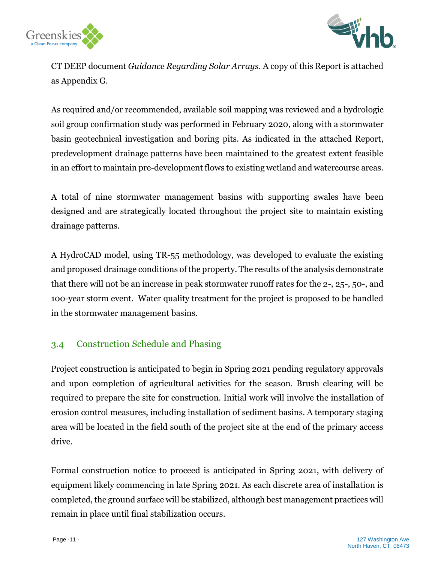



CT DEEP document *Guidance Regarding Solar Arrays*. A copy of this Report is attached as Appendix G.

As required and/or recommended, available soil mapping was reviewed and a hydrologic soil group confirmation study was performed in February 2020, along with a stormwater basin geotechnical investigation and boring pits. As indicated in the attached Report, predevelopment drainage patterns have been maintained to the greatest extent feasible in an effort to maintain pre-development flows to existing wetland and watercourse areas.

A total of nine stormwater management basins with supporting swales have been designed and are strategically located throughout the project site to maintain existing drainage patterns.

A HydroCAD model, using TR-55 methodology, was developed to evaluate the existing and proposed drainage conditions of the property. The results of the analysis demonstrate that there will not be an increase in peak stormwater runoff rates for the 2-, 25-, 50-, and 100-year storm event. Water quality treatment for the project is proposed to be handled in the stormwater management basins.

## <span id="page-11-0"></span>3.4 Construction Schedule and Phasing

Project construction is anticipated to begin in Spring 2021 pending regulatory approvals and upon completion of agricultural activities for the season. Brush clearing will be required to prepare the site for construction. Initial work will involve the installation of erosion control measures, including installation of sediment basins. A temporary staging area will be located in the field south of the project site at the end of the primary access drive.

Formal construction notice to proceed is anticipated in Spring 2021, with delivery of equipment likely commencing in late Spring 2021. As each discrete area of installation is completed, the ground surface will be stabilized, although best management practices will remain in place until final stabilization occurs.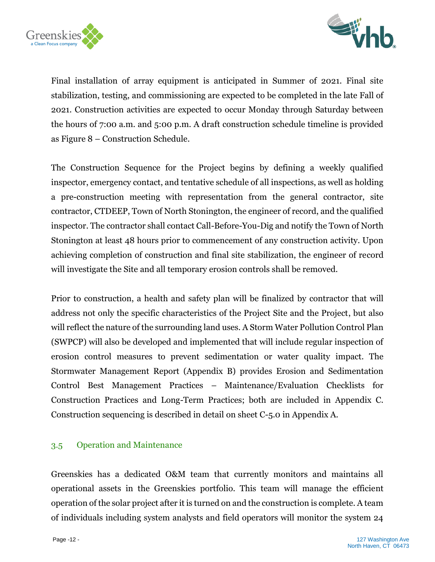



Final installation of array equipment is anticipated in Summer of 2021. Final site stabilization, testing, and commissioning are expected to be completed in the late Fall of 2021. Construction activities are expected to occur Monday through Saturday between the hours of 7:00 a.m. and 5:00 p.m. A draft construction schedule timeline is provided as Figure 8 – Construction Schedule.

The Construction Sequence for the Project begins by defining a weekly qualified inspector, emergency contact, and tentative schedule of all inspections, as well as holding a pre-construction meeting with representation from the general contractor, site contractor, CTDEEP, Town of North Stonington, the engineer of record, and the qualified inspector. The contractor shall contact Call-Before-You-Dig and notify the Town of North Stonington at least 48 hours prior to commencement of any construction activity. Upon achieving completion of construction and final site stabilization, the engineer of record will investigate the Site and all temporary erosion controls shall be removed.

Prior to construction, a health and safety plan will be finalized by contractor that will address not only the specific characteristics of the Project Site and the Project, but also will reflect the nature of the surrounding land uses. A Storm Water Pollution Control Plan (SWPCP) will also be developed and implemented that will include regular inspection of erosion control measures to prevent sedimentation or water quality impact. The Stormwater Management Report (Appendix B) provides Erosion and Sedimentation Control Best Management Practices – Maintenance/Evaluation Checklists for Construction Practices and Long-Term Practices; both are included in Appendix C. Construction sequencing is described in detail on sheet C-5.0 in Appendix A.

#### <span id="page-12-0"></span>3.5 Operation and Maintenance

Greenskies has a dedicated O&M team that currently monitors and maintains all operational assets in the Greenskies portfolio. This team will manage the efficient operation of the solar project after it is turned on and the construction is complete. A team of individuals including system analysts and field operators will monitor the system 24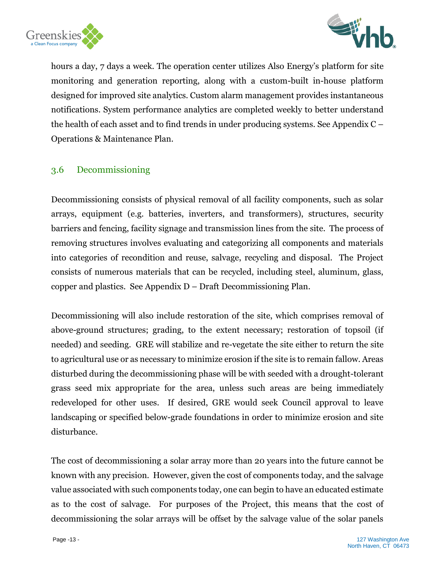



hours a day, 7 days a week. The operation center utilizes Also Energy's platform for site monitoring and generation reporting, along with a custom-built in-house platform designed for improved site analytics. Custom alarm management provides instantaneous notifications. System performance analytics are completed weekly to better understand the health of each asset and to find trends in under producing systems. See Appendix C – Operations & Maintenance Plan.

#### <span id="page-13-0"></span>3.6 Decommissioning

Decommissioning consists of physical removal of all facility components, such as solar arrays, equipment (e.g. batteries, inverters, and transformers), structures, security barriers and fencing, facility signage and transmission lines from the site. The process of removing structures involves evaluating and categorizing all components and materials into categories of recondition and reuse, salvage, recycling and disposal. The Project consists of numerous materials that can be recycled, including steel, aluminum, glass, copper and plastics. See Appendix D – Draft Decommissioning Plan.

Decommissioning will also include restoration of the site, which comprises removal of above-ground structures; grading, to the extent necessary; restoration of topsoil (if needed) and seeding. GRE will stabilize and re-vegetate the site either to return the site to agricultural use or as necessary to minimize erosion if the site is to remain fallow. Areas disturbed during the decommissioning phase will be with seeded with a drought-tolerant grass seed mix appropriate for the area, unless such areas are being immediately redeveloped for other uses. If desired, GRE would seek Council approval to leave landscaping or specified below-grade foundations in order to minimize erosion and site disturbance.

The cost of decommissioning a solar array more than 20 years into the future cannot be known with any precision. However, given the cost of components today, and the salvage value associated with such components today, one can begin to have an educated estimate as to the cost of salvage. For purposes of the Project, this means that the cost of decommissioning the solar arrays will be offset by the salvage value of the solar panels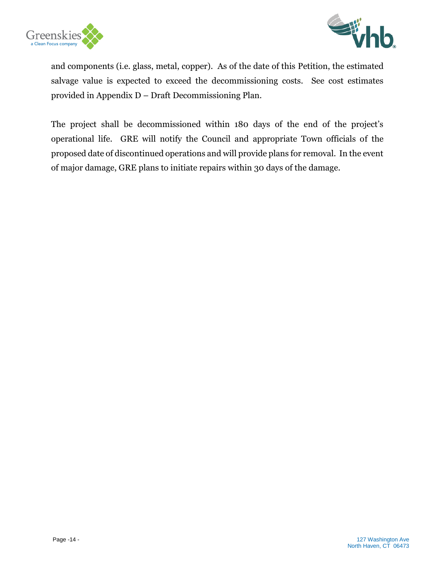



and components (i.e. glass, metal, copper). As of the date of this Petition, the estimated salvage value is expected to exceed the decommissioning costs. See cost estimates provided in Appendix D – Draft Decommissioning Plan.

The project shall be decommissioned within 180 days of the end of the project's operational life. GRE will notify the Council and appropriate Town officials of the proposed date of discontinued operations and will provide plans for removal. In the event of major damage, GRE plans to initiate repairs within 30 days of the damage.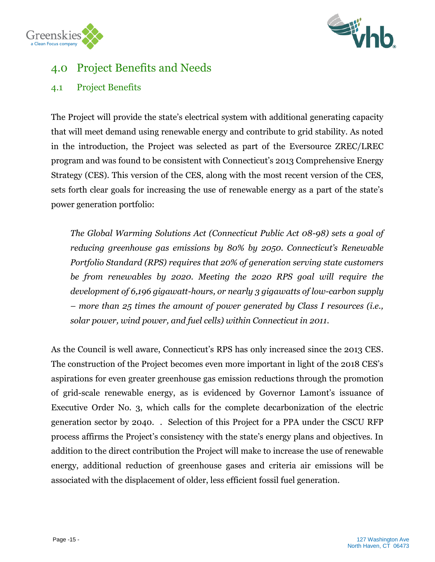

# <span id="page-15-0"></span>4.0 Project Benefits and Needs

## <span id="page-15-1"></span>4.1 Project Benefits

Greenskies

The Project will provide the state's electrical system with additional generating capacity that will meet demand using renewable energy and contribute to grid stability. As noted in the introduction, the Project was selected as part of the Eversource ZREC/LREC program and was found to be consistent with Connecticut's 2013 Comprehensive Energy Strategy (CES). This version of the CES, along with the most recent version of the CES, sets forth clear goals for increasing the use of renewable energy as a part of the state's power generation portfolio:

*The Global Warming Solutions Act (Connecticut Public Act 08-98) sets a goal of reducing greenhouse gas emissions by 80% by 2050. Connecticut's Renewable Portfolio Standard (RPS) requires that 20% of generation serving state customers be from renewables by 2020. Meeting the 2020 RPS goal will require the development of 6,196 gigawatt-hours, or nearly 3 gigawatts of low-carbon supply – more than 25 times the amount of power generated by Class I resources (i.e., solar power, wind power, and fuel cells) within Connecticut in 2011.*

As the Council is well aware, Connecticut's RPS has only increased since the 2013 CES. The construction of the Project becomes even more important in light of the 2018 CES's aspirations for even greater greenhouse gas emission reductions through the promotion of grid-scale renewable energy, as is evidenced by Governor Lamont's issuance of Executive Order No. 3, which calls for the complete decarbonization of the electric generation sector by 2040. . Selection of this Project for a PPA under the CSCU RFP process affirms the Project's consistency with the state's energy plans and objectives. In addition to the direct contribution the Project will make to increase the use of renewable energy, additional reduction of greenhouse gases and criteria air emissions will be associated with the displacement of older, less efficient fossil fuel generation.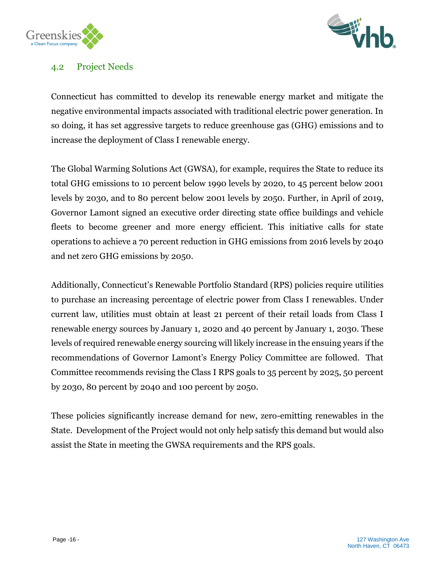



## <span id="page-16-0"></span>4.2 Project Needs

Connecticut has committed to develop its renewable energy market and mitigate the negative environmental impacts associated with traditional electric power generation. In so doing, it has set aggressive targets to reduce greenhouse gas (GHG) emissions and to increase the deployment of Class I renewable energy.

The Global Warming Solutions Act (GWSA), for example, requires the State to reduce its total GHG emissions to 10 percent below 1990 levels by 2020, to 45 percent below 2001 levels by 2030, and to 80 percent below 2001 levels by 2050. Further, in April of 2019, Governor Lamont signed an executive order directing state office buildings and vehicle fleets to become greener and more energy efficient. This initiative calls for state operations to achieve a 70 percent reduction in GHG emissions from 2016 levels by 2040 and net zero GHG emissions by 2050.

Additionally, Connecticut's Renewable Portfolio Standard (RPS) policies require utilities to purchase an increasing percentage of electric power from Class I renewables. Under current law, utilities must obtain at least 21 percent of their retail loads from Class I renewable energy sources by January 1, 2020 and 40 percent by January 1, 2030. These levels of required renewable energy sourcing will likely increase in the ensuing years if the recommendations of Governor Lamont's Energy Policy Committee are followed. That Committee recommends revising the Class I RPS goals to 35 percent by 2025, 50 percent by 2030, 80 percent by 2040 and 100 percent by 2050.

These policies significantly increase demand for new, zero-emitting renewables in the State. Development of the Project would not only help satisfy this demand but would also assist the State in meeting the GWSA requirements and the RPS goals.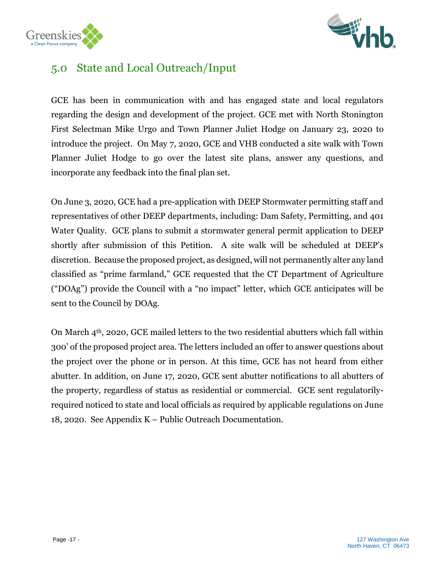



# <span id="page-17-0"></span>5.0 State and Local Outreach/Input

GCE has been in communication with and has engaged state and local regulators regarding the design and development of the project. GCE met with North Stonington First Selectman Mike Urgo and Town Planner Juliet Hodge on January 23, 2020 to introduce the project. On May 7, 2020, GCE and VHB conducted a site walk with Town Planner Juliet Hodge to go over the latest site plans, answer any questions, and incorporate any feedback into the final plan set.

On June 3, 2020, GCE had a pre-application with DEEP Stormwater permitting staff and representatives of other DEEP departments, including: Dam Safety, Permitting, and 401 Water Quality. GCE plans to submit a stormwater general permit application to DEEP shortly after submission of this Petition. A site walk will be scheduled at DEEP's discretion. Because the proposed project, as designed, will not permanently alter any land classified as "prime farmland," GCE requested that the CT Department of Agriculture ("DOAg") provide the Council with a "no impact" letter, which GCE anticipates will be sent to the Council by DOAg.

On March 4th, 2020, GCE mailed letters to the two residential abutters which fall within 300' of the proposed project area. The letters included an offer to answer questions about the project over the phone or in person. At this time, GCE has not heard from either abutter. In addition, on June 17, 2020, GCE sent abutter notifications to all abutters of the property, regardless of status as residential or commercial. GCE sent regulatorilyrequired noticed to state and local officials as required by applicable regulations on June 18, 2020. See Appendix K – Public Outreach Documentation.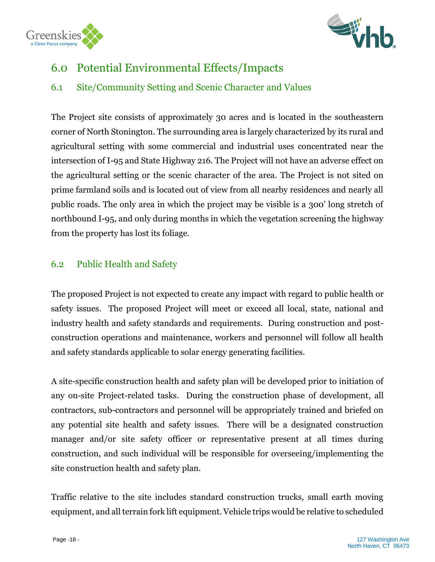



## <span id="page-18-0"></span>6.0 Potential Environmental Effects/Impacts

## <span id="page-18-1"></span>6.1 Site/Community Setting and Scenic Character and Values

The Project site consists of approximately 30 acres and is located in the southeastern corner of North Stonington. The surrounding area is largely characterized by its rural and agricultural setting with some commercial and industrial uses concentrated near the intersection of I-95 and State Highway 216. The Project will not have an adverse effect on the agricultural setting or the scenic character of the area. The Project is not sited on prime farmland soils and is located out of view from all nearby residences and nearly all public roads. The only area in which the project may be visible is a 300' long stretch of northbound I-95, and only during months in which the vegetation screening the highway from the property has lost its foliage.

## <span id="page-18-2"></span>6.2 Public Health and Safety

The proposed Project is not expected to create any impact with regard to public health or safety issues. The proposed Project will meet or exceed all local, state, national and industry health and safety standards and requirements. During construction and postconstruction operations and maintenance, workers and personnel will follow all health and safety standards applicable to solar energy generating facilities.

A site-specific construction health and safety plan will be developed prior to initiation of any on-site Project-related tasks. During the construction phase of development, all contractors, sub-contractors and personnel will be appropriately trained and briefed on any potential site health and safety issues. There will be a designated construction manager and/or site safety officer or representative present at all times during construction, and such individual will be responsible for overseeing/implementing the site construction health and safety plan.

Traffic relative to the site includes standard construction trucks, small earth moving equipment, and all terrain fork lift equipment. Vehicle trips would be relative to scheduled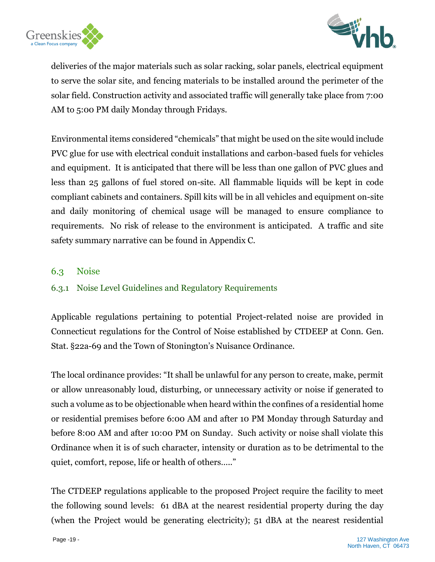



deliveries of the major materials such as solar racking, solar panels, electrical equipment to serve the solar site, and fencing materials to be installed around the perimeter of the solar field. Construction activity and associated traffic will generally take place from 7:00 AM to 5:00 PM daily Monday through Fridays.

Environmental items considered "chemicals" that might be used on the site would include PVC glue for use with electrical conduit installations and carbon-based fuels for vehicles and equipment. It is anticipated that there will be less than one gallon of PVC glues and less than 25 gallons of fuel stored on-site. All flammable liquids will be kept in code compliant cabinets and containers. Spill kits will be in all vehicles and equipment on-site and daily monitoring of chemical usage will be managed to ensure compliance to requirements. No risk of release to the environment is anticipated. A traffic and site safety summary narrative can be found in Appendix C.

#### <span id="page-19-0"></span>6.3 Noise

## <span id="page-19-1"></span>6.3.1 Noise Level Guidelines and Regulatory Requirements

Applicable regulations pertaining to potential Project-related noise are provided in Connecticut regulations for the Control of Noise established by CTDEEP at Conn. Gen. Stat. §22a-69 and the Town of Stonington's Nuisance Ordinance.

The local ordinance provides: "It shall be unlawful for any person to create, make, permit or allow unreasonably loud, disturbing, or unnecessary activity or noise if generated to such a volume as to be objectionable when heard within the confines of a residential home or residential premises before 6:00 AM and after 10 PM Monday through Saturday and before 8:00 AM and after 10:00 PM on Sunday. Such activity or noise shall violate this Ordinance when it is of such character, intensity or duration as to be detrimental to the quiet, comfort, repose, life or health of others….."

The CTDEEP regulations applicable to the proposed Project require the facility to meet the following sound levels: 61 dBA at the nearest residential property during the day (when the Project would be generating electricity); 51 dBA at the nearest residential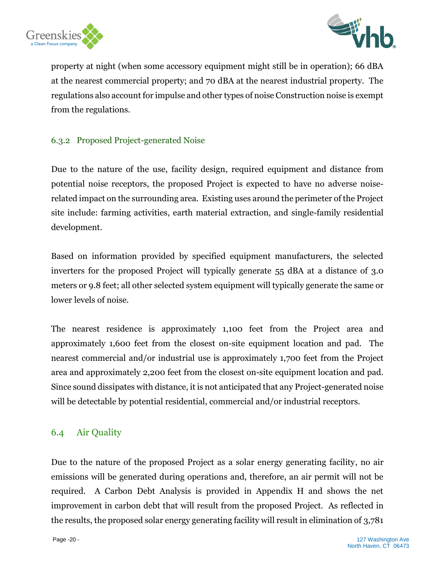



property at night (when some accessory equipment might still be in operation); 66 dBA at the nearest commercial property; and 70 dBA at the nearest industrial property. The regulations also account for impulse and other types of noise Construction noise is exempt from the regulations.

#### <span id="page-20-0"></span>6.3.2 Proposed Project-generated Noise

Due to the nature of the use, facility design, required equipment and distance from potential noise receptors, the proposed Project is expected to have no adverse noiserelated impact on the surrounding area. Existing uses around the perimeter of the Project site include: farming activities, earth material extraction, and single-family residential development.

Based on information provided by specified equipment manufacturers, the selected inverters for the proposed Project will typically generate 55 dBA at a distance of 3.0 meters or 9.8 feet; all other selected system equipment will typically generate the same or lower levels of noise.

The nearest residence is approximately 1,100 feet from the Project area and approximately 1,600 feet from the closest on-site equipment location and pad. The nearest commercial and/or industrial use is approximately 1,700 feet from the Project area and approximately 2,200 feet from the closest on-site equipment location and pad. Since sound dissipates with distance, it is not anticipated that any Project-generated noise will be detectable by potential residential, commercial and/or industrial receptors.

## <span id="page-20-1"></span>6.4 Air Quality

Due to the nature of the proposed Project as a solar energy generating facility, no air emissions will be generated during operations and, therefore, an air permit will not be required. A Carbon Debt Analysis is provided in Appendix H and shows the net improvement in carbon debt that will result from the proposed Project. As reflected in the results, the proposed solar energy generating facility will result in elimination of 3,781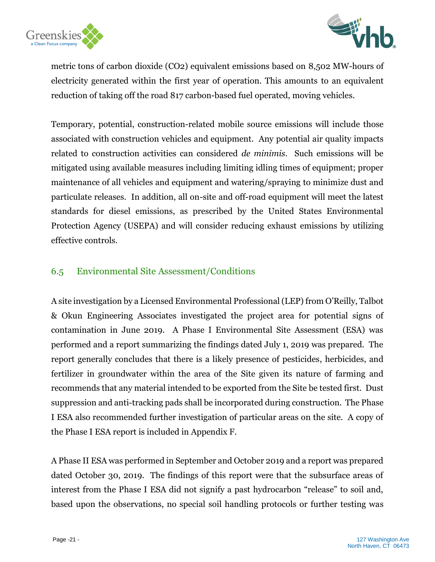



metric tons of carbon dioxide (CO2) equivalent emissions based on 8,502 MW-hours of electricity generated within the first year of operation. This amounts to an equivalent reduction of taking off the road 817 carbon-based fuel operated, moving vehicles.

Temporary, potential, construction-related mobile source emissions will include those associated with construction vehicles and equipment. Any potential air quality impacts related to construction activities can considered *de minimis*. Such emissions will be mitigated using available measures including limiting idling times of equipment; proper maintenance of all vehicles and equipment and watering/spraying to minimize dust and particulate releases. In addition, all on-site and off-road equipment will meet the latest standards for diesel emissions, as prescribed by the United States Environmental Protection Agency (USEPA) and will consider reducing exhaust emissions by utilizing effective controls.

## <span id="page-21-0"></span>6.5 Environmental Site Assessment/Conditions

A site investigation by a Licensed Environmental Professional (LEP) from O'Reilly, Talbot & Okun Engineering Associates investigated the project area for potential signs of contamination in June 2019. A Phase I Environmental Site Assessment (ESA) was performed and a report summarizing the findings dated July 1, 2019 was prepared. The report generally concludes that there is a likely presence of pesticides, herbicides, and fertilizer in groundwater within the area of the Site given its nature of farming and recommends that any material intended to be exported from the Site be tested first. Dust suppression and anti-tracking pads shall be incorporated during construction. The Phase I ESA also recommended further investigation of particular areas on the site. A copy of the Phase I ESA report is included in Appendix F.

A Phase II ESA was performed in September and October 2019 and a report was prepared dated October 30, 2019. The findings of this report were that the subsurface areas of interest from the Phase I ESA did not signify a past hydrocarbon "release" to soil and, based upon the observations, no special soil handling protocols or further testing was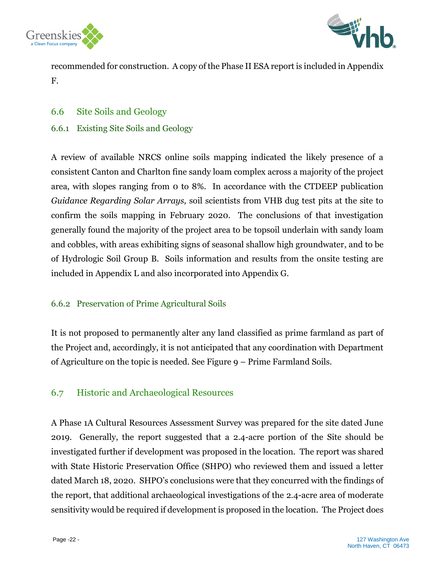



recommended for construction. A copy of the Phase II ESA report is included in Appendix F.

#### <span id="page-22-0"></span>6.6 Site Soils and Geology

#### <span id="page-22-1"></span>6.6.1 Existing Site Soils and Geology

A review of available NRCS online soils mapping indicated the likely presence of a consistent Canton and Charlton fine sandy loam complex across a majority of the project area, with slopes ranging from 0 to 8%. In accordance with the CTDEEP publication *Guidance Regarding Solar Arrays,* soil scientists from VHB dug test pits at the site to confirm the soils mapping in February 2020. The conclusions of that investigation generally found the majority of the project area to be topsoil underlain with sandy loam and cobbles, with areas exhibiting signs of seasonal shallow high groundwater, and to be of Hydrologic Soil Group B. Soils information and results from the onsite testing are included in Appendix L and also incorporated into Appendix G.

## <span id="page-22-2"></span>6.6.2 Preservation of Prime Agricultural Soils

It is not proposed to permanently alter any land classified as prime farmland as part of the Project and, accordingly, it is not anticipated that any coordination with Department of Agriculture on the topic is needed. See Figure 9 – Prime Farmland Soils.

## <span id="page-22-3"></span>6.7 Historic and Archaeological Resources

A Phase 1A Cultural Resources Assessment Survey was prepared for the site dated June 2019. Generally, the report suggested that a 2.4-acre portion of the Site should be investigated further if development was proposed in the location. The report was shared with State Historic Preservation Office (SHPO) who reviewed them and issued a letter dated March 18, 2020. SHPO's conclusions were that they concurred with the findings of the report, that additional archaeological investigations of the 2.4-acre area of moderate sensitivity would be required if development is proposed in the location. The Project does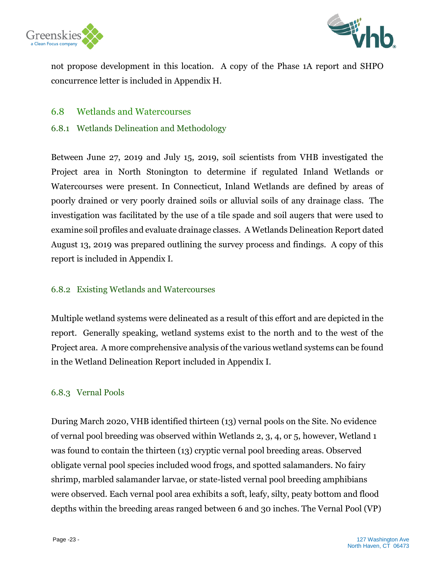



not propose development in this location. A copy of the Phase 1A report and SHPO concurrence letter is included in Appendix H.

#### <span id="page-23-0"></span>6.8 Wetlands and Watercourses

#### <span id="page-23-1"></span>6.8.1 Wetlands Delineation and Methodology

Between June 27, 2019 and July 15, 2019, soil scientists from VHB investigated the Project area in North Stonington to determine if regulated Inland Wetlands or Watercourses were present. In Connecticut, Inland Wetlands are defined by areas of poorly drained or very poorly drained soils or alluvial soils of any drainage class. The investigation was facilitated by the use of a tile spade and soil augers that were used to examine soil profiles and evaluate drainage classes. A Wetlands Delineation Report dated August 13, 2019 was prepared outlining the survey process and findings. A copy of this report is included in Appendix I.

#### <span id="page-23-2"></span>6.8.2 Existing Wetlands and Watercourses

Multiple wetland systems were delineated as a result of this effort and are depicted in the report. Generally speaking, wetland systems exist to the north and to the west of the Project area. A more comprehensive analysis of the various wetland systems can be found in the Wetland Delineation Report included in Appendix I.

#### <span id="page-23-3"></span>6.8.3 Vernal Pools

During March 2020, VHB identified thirteen (13) vernal pools on the Site. No evidence of vernal pool breeding was observed within Wetlands 2, 3, 4, or 5, however, Wetland 1 was found to contain the thirteen (13) cryptic vernal pool breeding areas. Observed obligate vernal pool species included wood frogs, and spotted salamanders. No fairy shrimp, marbled salamander larvae, or state-listed vernal pool breeding amphibians were observed. Each vernal pool area exhibits a soft, leafy, silty, peaty bottom and flood depths within the breeding areas ranged between 6 and 30 inches. The Vernal Pool (VP)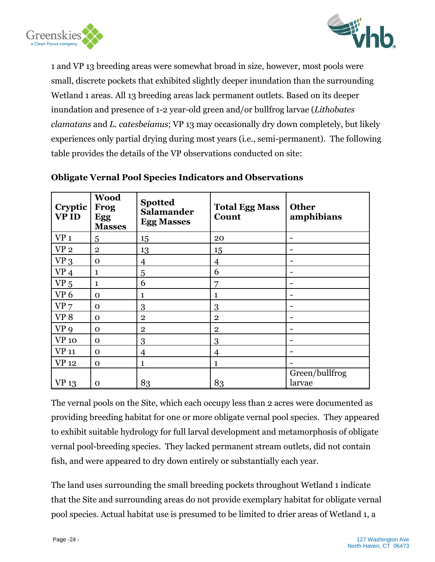



1 and VP 13 breeding areas were somewhat broad in size, however, most pools were small, discrete pockets that exhibited slightly deeper inundation than the surrounding Wetland 1 areas. All 13 breeding areas lack permanent outlets. Based on its deeper inundation and presence of 1-2 year-old green and/or bullfrog larvae (*Lithobates clamatans* and *L. catesbeianus*; VP 13 may occasionally dry down completely, but likely experiences only partial drying during most years (i.e., semi-permanent). The following table provides the details of the VP observations conducted on site:

| Cryptic<br><b>VPID</b> | <b>Wood</b><br>Frog<br>Egg<br><b>Masses</b> | <b>Spotted</b><br><b>Salamander</b><br><b>Egg Masses</b> | <b>Total Egg Mass</b><br>Count | <b>Other</b><br>amphibians |
|------------------------|---------------------------------------------|----------------------------------------------------------|--------------------------------|----------------------------|
| VP <sub>1</sub>        | 5                                           | 15                                                       | 20                             | $\qquad \qquad$            |
| VP <sub>2</sub>        | $\mathbf{2}$                                | 13                                                       | 15                             | $\overline{\phantom{a}}$   |
| $VP_3$                 | $\mathbf 0$                                 | 4                                                        | 4                              | $\overline{\phantom{0}}$   |
| VP <sub>4</sub>        | $\mathbf{1}$                                | 5                                                        | 6                              | $\overline{\phantom{0}}$   |
| VP <sub>5</sub>        | $\mathbf{1}$                                | 6                                                        | 7                              | $\overline{\phantom{a}}$   |
| VP <sub>6</sub>        | $\Omega$                                    | 1                                                        | 1                              | $\overline{\phantom{a}}$   |
| VP <sub>7</sub>        | $\mathbf 0$                                 | 3                                                        | 3                              | $\overline{\phantom{0}}$   |
| VP <sub>8</sub>        | $\mathbf 0$                                 | $\mathbf{2}$                                             | $\mathbf{2}$                   | $\overline{\phantom{0}}$   |
| VP <sub>9</sub>        | $\mathbf 0$                                 | $\overline{2}$                                           | $\mathbf{2}$                   | $\overline{\phantom{a}}$   |
| <b>VP</b> 10           | $\Omega$                                    | 3                                                        | 3                              | $\overline{\phantom{a}}$   |
| <b>VP</b> 11           | $\mathbf 0$                                 | $\overline{4}$                                           | $\overline{4}$                 | $\overline{\phantom{0}}$   |
| <b>VP</b> 12           | $\Omega$                                    | 1                                                        | $\mathbf{1}$                   |                            |
| <b>VP</b> 13           | $\mathbf 0$                                 | 83                                                       | 83                             | Green/bullfrog<br>larvae   |

#### **Obligate Vernal Pool Species Indicators and Observations**

The vernal pools on the Site, which each occupy less than 2 acres were documented as providing breeding habitat for one or more obligate vernal pool species. They appeared to exhibit suitable hydrology for full larval development and metamorphosis of obligate vernal pool-breeding species. They lacked permanent stream outlets, did not contain fish, and were appeared to dry down entirely or substantially each year.

The land uses surrounding the small breeding pockets throughout Wetland 1 indicate that the Site and surrounding areas do not provide exemplary habitat for obligate vernal pool species. Actual habitat use is presumed to be limited to drier areas of Wetland 1, a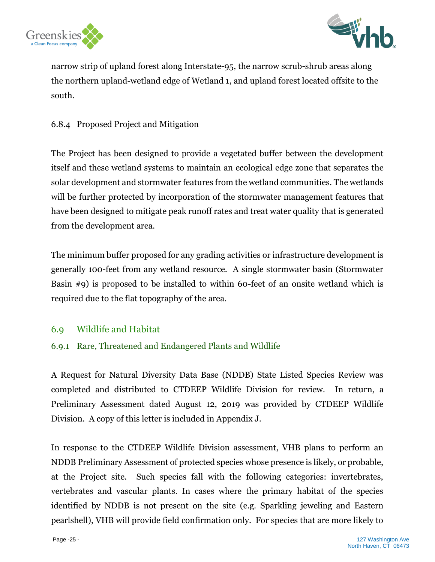



narrow strip of upland forest along Interstate-95, the narrow scrub-shrub areas along the northern upland-wetland edge of Wetland 1, and upland forest located offsite to the south.

## 6.8.4 Proposed Project and Mitigation

The Project has been designed to provide a vegetated buffer between the development itself and these wetland systems to maintain an ecological edge zone that separates the solar development and stormwater features from the wetland communities. The wetlands will be further protected by incorporation of the stormwater management features that have been designed to mitigate peak runoff rates and treat water quality that is generated from the development area.

The minimum buffer proposed for any grading activities or infrastructure development is generally 100-feet from any wetland resource. A single stormwater basin (Stormwater Basin #9) is proposed to be installed to within 60-feet of an onsite wetland which is required due to the flat topography of the area.

## <span id="page-25-0"></span>6.9 Wildlife and Habitat

#### <span id="page-25-1"></span>6.9.1 Rare, Threatened and Endangered Plants and Wildlife

A Request for Natural Diversity Data Base (NDDB) State Listed Species Review was completed and distributed to CTDEEP Wildlife Division for review. In return, a Preliminary Assessment dated August 12, 2019 was provided by CTDEEP Wildlife Division. A copy of this letter is included in Appendix J.

In response to the CTDEEP Wildlife Division assessment, VHB plans to perform an NDDB Preliminary Assessment of protected species whose presence is likely, or probable, at the Project site. Such species fall with the following categories: invertebrates, vertebrates and vascular plants. In cases where the primary habitat of the species identified by NDDB is not present on the site (e.g. Sparkling jeweling and Eastern pearlshell), VHB will provide field confirmation only. For species that are more likely to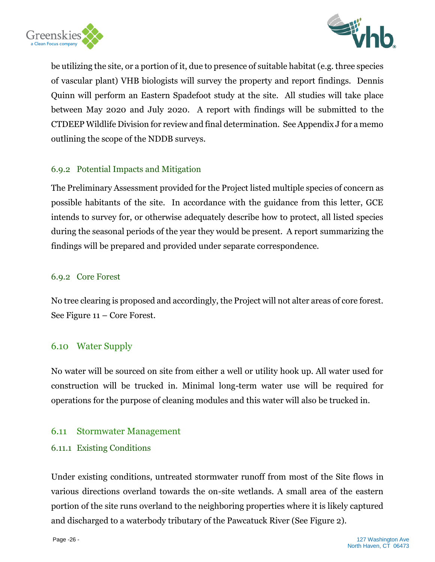



be utilizing the site, or a portion of it, due to presence of suitable habitat (e.g. three species of vascular plant) VHB biologists will survey the property and report findings. Dennis Quinn will perform an Eastern Spadefoot study at the site. All studies will take place between May 2020 and July 2020. A report with findings will be submitted to the CTDEEP Wildlife Division for review and final determination. See Appendix J for a memo outlining the scope of the NDDB surveys.

#### <span id="page-26-0"></span>6.9.2 Potential Impacts and Mitigation

The Preliminary Assessment provided for the Project listed multiple species of concern as possible habitants of the site. In accordance with the guidance from this letter, GCE intends to survey for, or otherwise adequately describe how to protect, all listed species during the seasonal periods of the year they would be present. A report summarizing the findings will be prepared and provided under separate correspondence.

#### <span id="page-26-1"></span>6.9.2 Core Forest

No tree clearing is proposed and accordingly, the Project will not alter areas of core forest. See Figure 11 – Core Forest.

## <span id="page-26-2"></span>6.10 Water Supply

No water will be sourced on site from either a well or utility hook up. All water used for construction will be trucked in. Minimal long-term water use will be required for operations for the purpose of cleaning modules and this water will also be trucked in.

## <span id="page-26-3"></span>6.11 Stormwater Management

#### <span id="page-26-4"></span>6.11.1 Existing Conditions

Under existing conditions, untreated stormwater runoff from most of the Site flows in various directions overland towards the on-site wetlands. A small area of the eastern portion of the site runs overland to the neighboring properties where it is likely captured and discharged to a waterbody tributary of the Pawcatuck River (See Figure 2).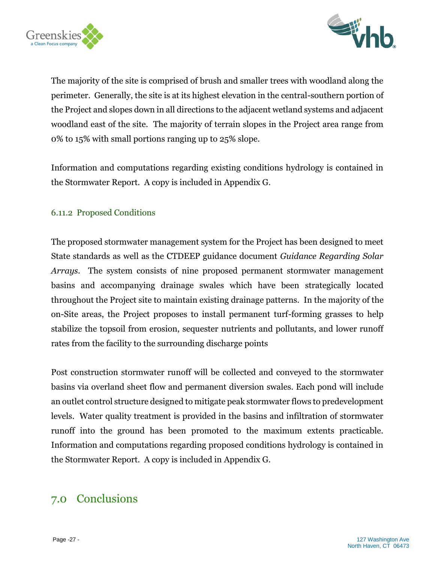



The majority of the site is comprised of brush and smaller trees with woodland along the perimeter. Generally, the site is at its highest elevation in the central-southern portion of the Project and slopes down in all directions to the adjacent wetland systems and adjacent woodland east of the site. The majority of terrain slopes in the Project area range from 0% to 15% with small portions ranging up to 25% slope.

Information and computations regarding existing conditions hydrology is contained in the Stormwater Report. A copy is included in Appendix G.

#### <span id="page-27-0"></span>6.11.2 Proposed Conditions

The proposed stormwater management system for the Project has been designed to meet State standards as well as the CTDEEP guidance document *Guidance Regarding Solar Arrays*. The system consists of nine proposed permanent stormwater management basins and accompanying drainage swales which have been strategically located throughout the Project site to maintain existing drainage patterns. In the majority of the on-Site areas, the Project proposes to install permanent turf-forming grasses to help stabilize the topsoil from erosion, sequester nutrients and pollutants, and lower runoff rates from the facility to the surrounding discharge points

Post construction stormwater runoff will be collected and conveyed to the stormwater basins via overland sheet flow and permanent diversion swales. Each pond will include an outlet control structure designed to mitigate peak stormwater flows to predevelopment levels. Water quality treatment is provided in the basins and infiltration of stormwater runoff into the ground has been promoted to the maximum extents practicable. Information and computations regarding proposed conditions hydrology is contained in the Stormwater Report. A copy is included in Appendix G.

## <span id="page-27-1"></span>7.0 Conclusions